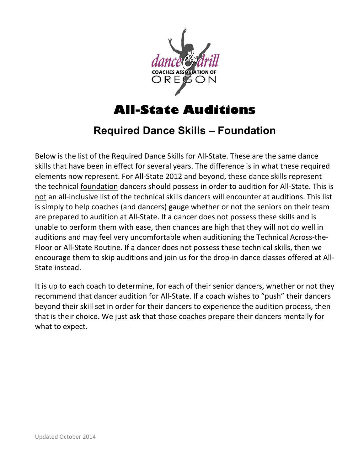

# **All-State Auditions**

## **Required Dance Skills – Foundation**

Below is the list of the Required Dance Skills for All-State. These are the same dance skills that have been in effect for several years. The difference is in what these required elements now represent. For All-State 2012 and beyond, these dance skills represent the technical foundation dancers should possess in order to audition for All-State. This is not an all-inclusive list of the technical skills dancers will encounter at auditions. This list is simply to help coaches (and dancers) gauge whether or not the seniors on their team are prepared to audition at All-State. If a dancer does not possess these skills and is unable to perform them with ease, then chances are high that they will not do well in auditions and may feel very uncomfortable when auditioning the Technical Across-the-Floor or All-State Routine. If a dancer does not possess these technical skills, then we encourage them to skip auditions and join us for the drop-in dance classes offered at All-State instead.

It is up to each coach to determine, for each of their senior dancers, whether or not they recommend that dancer audition for All-State. If a coach wishes to "push" their dancers beyond their skill set in order for their dancers to experience the audition process, then that is their choice. We just ask that those coaches prepare their dancers mentally for what to expect.